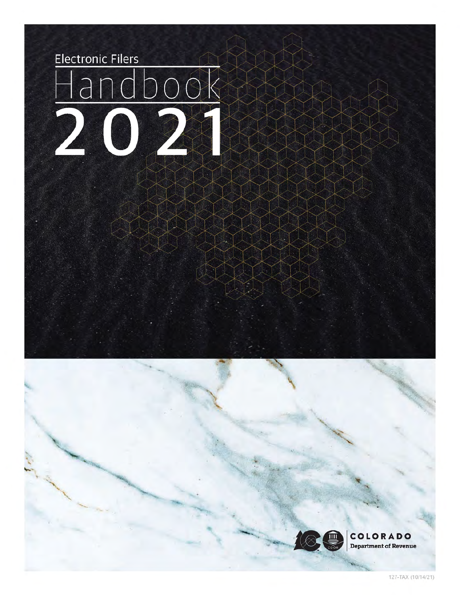

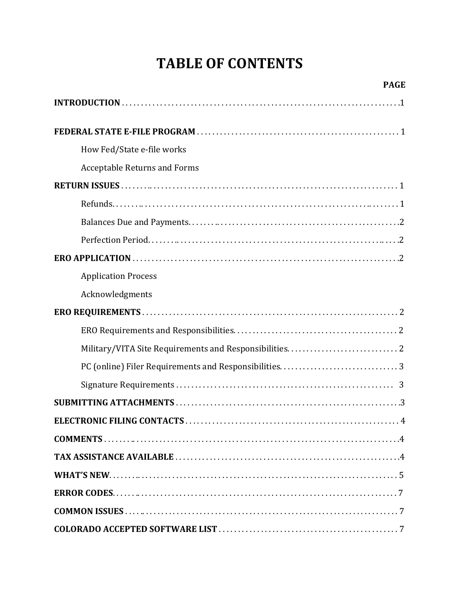# **TABLE OF CONTENTS**

| <b>PAGE</b>                         |
|-------------------------------------|
|                                     |
|                                     |
| How Fed/State e-file works          |
| <b>Acceptable Returns and Forms</b> |
|                                     |
|                                     |
|                                     |
|                                     |
|                                     |
| <b>Application Process</b>          |
| Acknowledgments                     |
|                                     |
|                                     |
|                                     |
|                                     |
|                                     |
|                                     |
|                                     |
|                                     |
|                                     |
|                                     |
|                                     |
|                                     |
|                                     |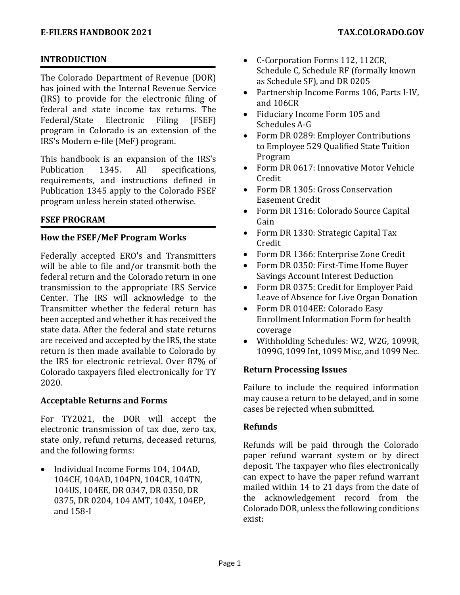# **INTRODUCTION**

The Colorado Department of Revenue (DOR) has joined with the Internal Revenue Service (IRS) to provide for the electronic filing of federal and state income tax returns. The<br>Federal/State Electronic Filing (FSEF) Federal/State program in Colorado is an extension of the IRS's Modern e-file (MeF) program.

This handbook is an expansion of the IRS's<br>Publication 1345. All specifications. specifications, requirements, and instructions defined in Publication 1345 apply to the Colorado FSEF program unless herein stated otherwise.

# **FSEF PROGRAM**

# **How the FSEF/MeF Program Works**

Federally accepted ERO's and Transmitters will be able to file and/or transmit both the federal return and the Colorado return in one transmission to the appropriate IRS Service Center. The IRS will acknowledge to the Transmitter whether the federal return has been accepted and whether it has received the state data. After the federal and state returns are received and accepted by the IRS, the state return is then made available to Colorado by the IRS for electronic retrieval. Over 87% of Colorado taxpayers filed electronically for TY 2020.

# **Acceptable Returns and Forms**

For TY2021, the DOR will accept the electronic transmission of tax due, zero tax, state only, refund returns, deceased returns, and the following forms:

• Individual Income Forms 104, 104AD, 104CH, 104AD, 104PN, 104CR, 104TN, 104US, 104EE, DR 0347, DR 0350, DR 0375, DR 0204, 104 AMT, 104X, 104EP, and 158-I

- C-Corporation Forms 112, 112CR, Schedule C, Schedule RF (formally known as Schedule SF), and DR 0205
- Partnership Income Forms 106, Parts I-IV, and 106CR
- Fiduciary Income Form 105 and Schedules A-G
- Form DR 0289: Employer Contributions to Employee 529 Qualified State Tuition Program
- Form DR 0617: Innovative Motor Vehicle Credit
- Form DR 1305: Gross Conservation Easement Credit
- Form DR 1316: Colorado Source Capital Gain
- Form DR 1330: Strategic Capital Tax Credit
- Form DR 1366: Enterprise Zone Credit
- Form DR 0350: First-Time Home Buyer Savings Account Interest Deduction
- Form DR 0375: Credit for Employer Paid Leave of Absence for Live Organ Donation
- Form DR 0104EE: Colorado Easy Enrollment Information Form for health coverage
- Withholding Schedules: W2, W2G, 1099R, 1099G, 1099 Int, 1099 Misc, and 1099 Nec.

# **Return Processing Issues**

Failure to include the required information may cause a return to be delayed, and in some cases be rejected when submitted.

# **Refunds**

Refunds will be paid through the Colorado paper refund warrant system or by direct deposit. The taxpayer who files electronically can expect to have the paper refund warrant mailed within 14 to 21 days from the date of the acknowledgement record from the Colorado DOR, unless the following conditions exist: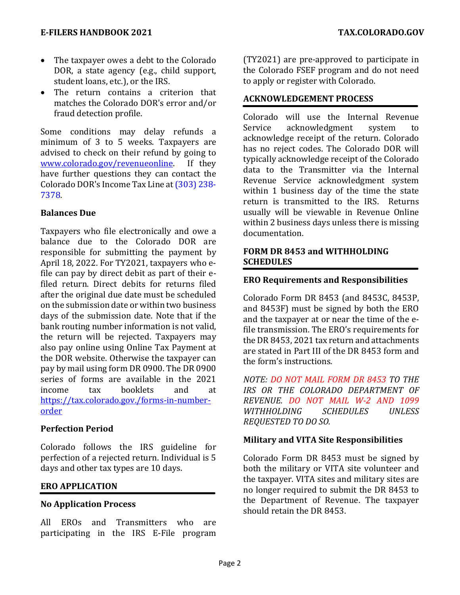#### **E-FILERS HANDBOOK 2021 TAX.COLORADO.GOV**

- The taxpayer owes a debt to the Colorado DOR, a state agency (e.g., child support, student loans, etc.), or the IRS.
- The return contains a criterion that matches the Colorado DOR's error and/or fraud detection profile.

Some conditions may delay refunds a minimum of 3 to 5 weeks. Taxpayers are advised to check on their refund by going to<br>www.colorado.gov/revenueonline. If they [www.colorado.gov/revenueonline.](http://www.colorado.gov/revenueonline) have further questions they can contact the Colorado DOR's Income Tax Line at (303) 238- 7378.

#### **Balances Due**

Taxpayers who file electronically and owe a balance due to the Colorado DOR are responsible for submitting the payment by April 18, 2022. For TY2021, taxpayers who efile can pay by direct debit as part of their efiled return. Direct debits for returns filed after the original due date must be scheduled on the submission date or within two business days of the submission date. Note that if the bank routing number information is not valid, the return will be rejected. Taxpayers may also pay online using Online Tax Payment at the DOR website. Otherwise the taxpayer can pay by mail using form DR 0900. The DR 0900 series of forms are available in the 2021<br>income tax booklets and at income tax booklets and at https://tax.colorado.gov./forms-in-numberorder

# **Perfection Period**

Colorado follows the IRS guideline for perfection of a rejected return. Individual is 5 days and other tax types are 10 days.

# **ERO APPLICATION**

# **No Application Process**

All EROs and Transmitters who are participating in the IRS E-File program (TY2021) are pre-approved to participate in the Colorado FSEF program and do not need to apply or register with Colorado.

#### **ACKNOWLEDGEMENT PROCESS**

Colorado will use the Internal Revenue Service acknowledgment system to acknowledge receipt of the return. Colorado has no reject codes. The Colorado DOR will  typically acknowledge receipt of the Colorado data to the Transmitter via the Internal Revenue Service acknowledgment system within 1 business day of the time the state return is transmitted to the IRS. Returns usually will be viewable in Revenue Online within 2 business days unless there is missing documentation. 

#### **FORM DR 8453 and WITHHOLDING SCHEDULES**

#### **ERO Requirements and Responsibilities**

Colorado Form DR 8453 (and 8453C, 8453P, and 8453F) must be signed by both the ERO and the taxpayer at or near the time of the efile transmission. The ERO's requirements for the DR 8453, 2021 tax return and attachments are stated in Part III of the DR 8453 form and the form's instructions.

*NOTE: DO NOT MAIL FORM DR 8453 TO THE IRS OR THE COLORADO DEPARTMENT OF REVENUE. DO NOT MAIL W-2 AND 1099 WITHHOLDING SCHEDULES UNLESS REQUESTED TO DO SO.*

#### **Military and VITA Site Responsibilities**

Colorado Form DR 8453 must be signed by both the military or VITA site volunteer and the taxpayer. VITA sites and military sites are no longer required to submit the DR 8453 to the Department of Revenue. The taxpayer should retain the DR 8453.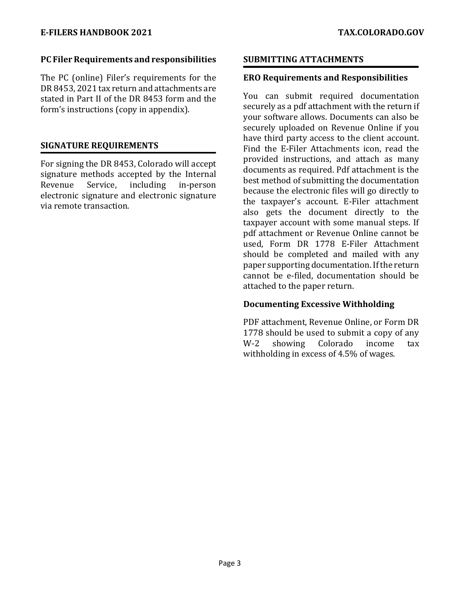#### **PC Filer Requirements and responsibilities**

The PC (online) Filer's requirements for the DR 8453, 2021 tax return and attachments are stated in Part II of the DR 8453 form and the form's instructions (copy in appendix).

#### **SIGNATURE REQUIREMENTS**

For signing the DR 8453, Colorado will accept signature methods accepted by the Internal<br>Revenue Service, including in-person Revenue Service, including in-person electronic signature and electronic signature via remote transaction.

#### **SUBMITTING ATTACHMENTS**

# **ERO Requirements and Responsibilities**

You can submit required documentation  securely as a pdf attachment with the return if  your software allows. Documents can also be  securely uploaded on Revenue Online if you  have third party access to the client account.  Find the E-Filer Attachments icon, read the provided instructions, and attach as many documents as required. Pdf attachment is the best method of submitting the documentation because the electronic files will go directly to the taxpayer's account. E-Filer attachment also gets the document directly to the taxpayer account with some manual steps. If pdf attachment or Revenue Online cannot be used, Form DR 1778 E-Filer Attachment should be completed and mailed with any paper supporting documentation. If the return cannot be e-filed, documentation should be attached to the paper return.

# **Documenting Excessive Withholding**

PDF attachment, Revenue Online, or Form DR 1778 should be used to submit a copy of any<br>W-2 showing Colorado income tax showing withholding in excess of 4.5% of wages.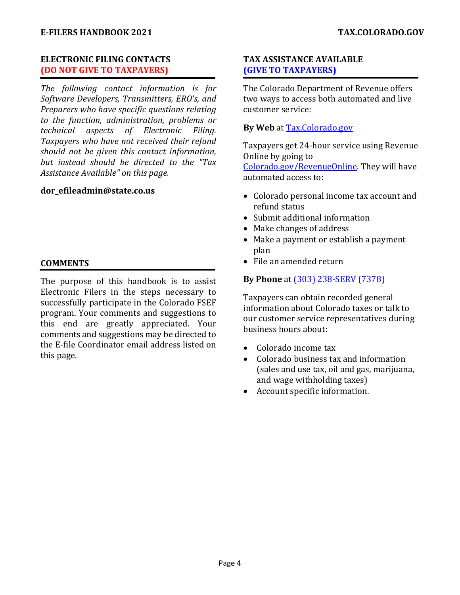# **ELECTRONIC FILING CONTACTS (DO NOT GIVE TO TAXPAYERS)**

*The following contact information is for Software Developers, Transmitters, ERO's, and Preparers who have specific questions relating to the function, administration, problems or technical aspects of Electronic Filing. Taxpayers who have not received their refund should not be given this contact information, but instead should be directed to the "Tax Assistance Available" on this page.*

#### **dor\_efileadmin@state.co.us**

# **COMMENTS**

The purpose of this handbook is to assist Electronic Filers in the steps necessary to successfully participate in the Colorado FSEF program. Your comments and suggestions to this end are greatly appreciated. Your comments and suggestions may be directed to the E-file Coordinator email address listed on this page.

# **TAX ASSISTANCE AVAILABLE (GIVE TO TAXPAYERS)**

The Colorado Department of Revenue offers two ways to access both automated and live customer service:

# **By Web** at **Tax.Colorado.gov**

Taxpayers get 24-hour service using Revenue Online by going to Colorado.gov/RevenueOnline. They will have automated access to:

- Colorado personal income tax account and refund status
- Submit additional information
- Make changes of address
- Make a payment or establish a payment plan
- File an amended return

# **By Phone** at (303) 238-SERV (7378)

Taxpayers can obtain recorded general information about Colorado taxes or talk to our customer service representatives during business hours about:

- Colorado income tax<br>• Colorado business ta
- Colorado business tax and information (sales and use tax, oil and gas, marijuana, and wage withholding taxes)
- Account specific information.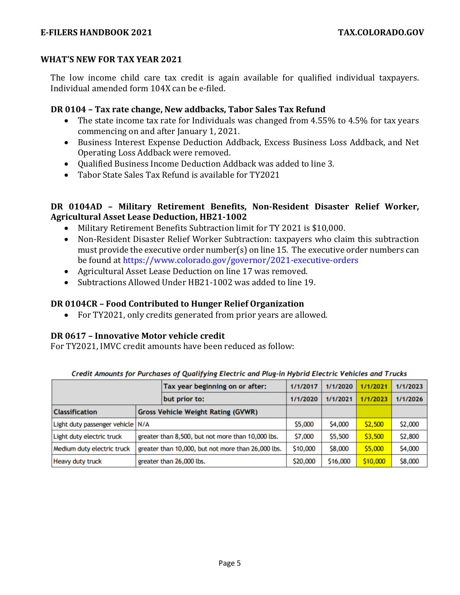#### **WHAT'S NEW FOR TAX YEAR 2021**

The low income child care tax credit is again available for qualified individual taxpayers. Individual amended form 104X can be e-filed.

# **DR 0104 – Tax rate change, New addbacks, Tabor Sales Tax Refund**

- The state income tax rate for Individuals was changed from 4.55% to 4.5% for tax years commencing on and after January 1, 2021.
- Business Interest Expense Deduction Addback, Excess Business Loss Addback, and Net Operating Loss Addback were removed.
- Qualified Business Income Deduction Addback was added to line 3.
- Tabor State Sales Tax Refund is available for TY2021

# **DR 0104AD – Military Retirement Benefits, Non-Resident Disaster Relief Worker, Agricultural Asset Lease Deduction, HB21-1002**

- Military Retirement Benefits Subtraction limit for TY 2021 is \$10,000.
- Non-Resident Disaster Relief Worker Subtraction: taxpayers who claim this subtraction must provide the executive order number(s) on line 15. The executive order numbers can be found at https://www.colorado.gov/governor/2021-executive-orders
- Agricultural Asset Lease Deduction on line 17 was removed.
- Subtractions Allowed Under HB21-1002 was added to line 19.

# **DR 0104CR – Food Contributed to Hunger Relief Organization**

• For TY2021, only credits generated from prior years are allowed.

#### **DR 0617 – Innovative Motor vehicle credit**

For TY2021, IMVC credit amounts have been reduced as follow:

|                                  |  | Tax year beginning on or after:                    | 1/1/2017 | 1/1/2020 | 1/1/2021 | 1/1/2023 |
|----------------------------------|--|----------------------------------------------------|----------|----------|----------|----------|
|                                  |  | but prior to:                                      | 1/1/2020 | 1/1/2021 | 1/1/2023 | 1/1/2026 |
| <b>Classification</b>            |  | <b>Gross Vehicle Weight Rating (GVWR)</b>          |          |          |          |          |
| Light duty passenger vehicle N/A |  |                                                    | \$5,000  | \$4,000  | \$2,500  | \$2,000  |
| Light duty electric truck        |  | greater than 8,500, but not more than 10,000 lbs.  | \$7,000  | \$5,500  | \$3,500  | \$2,800  |
| Medium duty electric truck       |  | greater than 10,000, but not more than 26,000 lbs. | \$10,000 | \$8,000  | \$5,000  | \$4,000  |
| <b>Heavy duty truck</b>          |  | greater than 26,000 lbs.                           | \$20,000 | \$16,000 | \$10,000 | \$8,000  |

Credit Amounts for Purchases of Qualifying Electric and Plug-in Hybrid Electric Vehicles and Trucks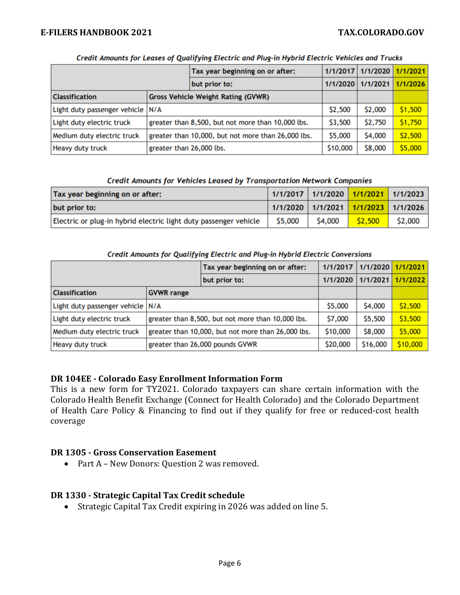#### **E-FILERS HANDBOOK 2021 TAX.COLORADO.GOV**

|                                  |                                                    | Tax year beginning on or after:           |         | 1/1/2017 1/1/2020 1/1/2021 |          |
|----------------------------------|----------------------------------------------------|-------------------------------------------|---------|----------------------------|----------|
|                                  |                                                    | but prior to:                             |         | 1/1/2020   1/1/2021        | 1/1/2026 |
| <b>Classification</b>            |                                                    | <b>Gross Vehicle Weight Rating (GVWR)</b> |         |                            |          |
| Light duty passenger vehicle N/A |                                                    |                                           | \$2,500 | \$2,000                    | \$1,500  |
| Light duty electric truck        | greater than 8,500, but not more than 10,000 lbs.  | \$3,500                                   | \$2,750 | \$1,750                    |          |
| Medium duty electric truck       | greater than 10,000, but not more than 26,000 lbs. | \$5,000                                   | \$4,000 | \$2,500                    |          |
| <b>Heavy duty truck</b>          | greater than 26,000 lbs.                           | \$10,000                                  | \$8,000 | \$5,000                    |          |

#### Credit Amounts for Leases of Qualifying Electric and Plug-in Hybrid Electric Vehicles and Trucks

#### Credit Amounts for Vehicles Leased by Transportation Network Companies

| Tax year beginning on or after:                                  | 1/1/2017   1/1/2020 <mark>  1/1/2021  </mark> 1/1/2023 |                                     |         |         |
|------------------------------------------------------------------|--------------------------------------------------------|-------------------------------------|---------|---------|
| but prior to:                                                    |                                                        | 1/1/2020 1/1/2021 1/1/2023 1/1/2026 |         |         |
| Electric or plug-in hybrid electric light duty passenger vehicle | \$5,000                                                | \$4,000                             | \$2,500 | \$2,000 |

#### Credit Amounts for Qualifying Electric and Plug-in Hybrid Electric Conversions

|                                  |                                                    | Tax year beginning on or after: | 1/1/2017 | $1/1/2020$ $1/1/2021$ |          |
|----------------------------------|----------------------------------------------------|---------------------------------|----------|-----------------------|----------|
|                                  |                                                    | but prior to:                   | 1/1/2020 | 1/1/2021              | 1/1/2022 |
| <b>Classification</b>            | <b>GVWR</b> range                                  |                                 |          |                       |          |
| Light duty passenger vehicle N/A |                                                    | \$5,000                         | \$4,000  | \$2,500               |          |
| Light duty electric truck        | greater than 8,500, but not more than 10,000 lbs.  | \$7,000                         | \$5,500  | \$3,500               |          |
| Medium duty electric truck       | greater than 10,000, but not more than 26,000 lbs. | \$10,000                        | \$8,000  | \$5,000               |          |
| Heavy duty truck                 | greater than 26,000 pounds GVWR                    | \$20,000                        | \$16,000 | \$10,000              |          |

#### **DR 104EE - Colorado Easy Enrollment Information Form**

This is a new form for TY2021. Colorado taxpayers can share certain information with the Colorado Health Benefit Exchange (Connect for Health Colorado) and the Colorado Department of Health Care Policy & Financing to find out if they qualify for free or reduced-cost health coverage

#### **DR 1305 - Gross Conservation Easement**

• Part A – New Donors: Question 2 was removed.

#### **DR 1330 - Strategic Capital Tax Credit schedule**

• Strategic Capital Tax Credit expiring in 2026 was added on line 5.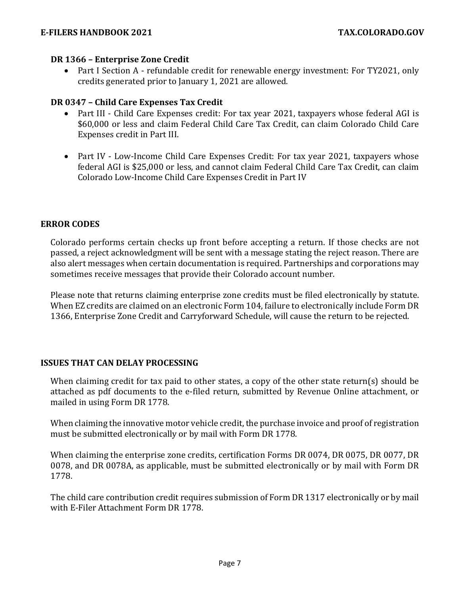#### **DR 1366 – Enterprise Zone Credit**

• Part I Section A - refundable credit for renewable energy investment: For TY2021, only credits generated prior to January 1, 2021 are allowed.

#### **DR 0347 – Child Care Expenses Tax Credit**

- Part III Child Care Expenses credit: For tax year 2021, taxpayers whose federal AGI is \$60,000 or less and claim Federal Child Care Tax Credit, can claim Colorado Child Care Expenses credit in Part III.
- Part IV Low-Income Child Care Expenses Credit: For tax year 2021, taxpayers whose federal AGI is \$25,000 or less, and cannot claim Federal Child Care Tax Credit, can claim Colorado Low-Income Child Care Expenses Credit in Part IV

#### **ERROR CODES**

Colorado performs certain checks up front before accepting a return. If those checks are not passed, a reject acknowledgment will be sent with a message stating the reject reason. There are also alert messages when certain documentation is required. Partnerships and corporations may sometimes receive messages that provide their Colorado account number.

Please note that returns claiming enterprise zone credits must be filed electronically by statute. When EZ credits are claimed on an electronic Form 104, failure to electronically include Form DR 1366, Enterprise Zone Credit and Carryforward Schedule, will cause the return to be rejected.

#### **ISSUES THAT CAN DELAY PROCESSING**

When claiming credit for tax paid to other states, a copy of the other state return(s) should be attached as pdf documents to the e-filed return, submitted by Revenue Online attachment, or mailed in using Form DR 1778.

When claiming the innovative motor vehicle credit, the purchase invoice and proof of registration must be submitted electronically or by mail with Form DR 1778.

When claiming the enterprise zone credits, certification Forms DR 0074, DR 0075, DR 0077, DR 0078, and DR 0078A, as applicable, must be submitted electronically or by mail with Form DR 1778.

The child care contribution credit requires submission of Form DR 1317 electronically or by mail with E-Filer Attachment Form DR 1778.